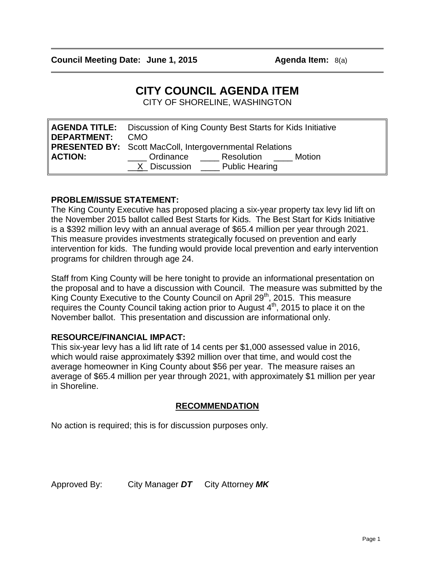# **CITY COUNCIL AGENDA ITEM**

CITY OF SHORELINE, WASHINGTON

| <b>DEPARTMENT:</b> | <b>AGENDA TITLE:</b> Discussion of King County Best Starts for Kids Initiative<br><b>CMO</b><br><b>PRESENTED BY:</b> Scott MacColl, Intergovernmental Relations |  |  |
|--------------------|-----------------------------------------------------------------------------------------------------------------------------------------------------------------|--|--|
|                    |                                                                                                                                                                 |  |  |
| <b>ACTION:</b>     | Ordinance<br>Resolution <u>_____</u><br>Motion<br>X Discussion Public Hearing                                                                                   |  |  |

# **PROBLEM/ISSUE STATEMENT:**

The King County Executive has proposed placing a six-year property tax levy lid lift on the November 2015 ballot called Best Starts for Kids. The Best Start for Kids Initiative is a \$392 million levy with an annual average of \$65.4 million per year through 2021. This measure provides investments strategically focused on prevention and early intervention for kids. The funding would provide local prevention and early intervention programs for children through age 24.

Staff from King County will be here tonight to provide an informational presentation on the proposal and to have a discussion with Council. The measure was submitted by the King County Executive to the County Council on April 29<sup>th</sup>, 2015. This measure requires the County Council taking action prior to August 4<sup>th</sup>, 2015 to place it on the November ballot. This presentation and discussion are informational only.

# **RESOURCE/FINANCIAL IMPACT:**

This six-year levy has a lid lift rate of 14 cents per \$1,000 assessed value in 2016, which would raise approximately \$392 million over that time, and would cost the average homeowner in King County about \$56 per year. The measure raises an average of \$65.4 million per year through 2021, with approximately \$1 million per year in Shoreline.

# **RECOMMENDATION**

No action is required; this is for discussion purposes only.

Approved By: City Manager *DT* City Attorney *MK*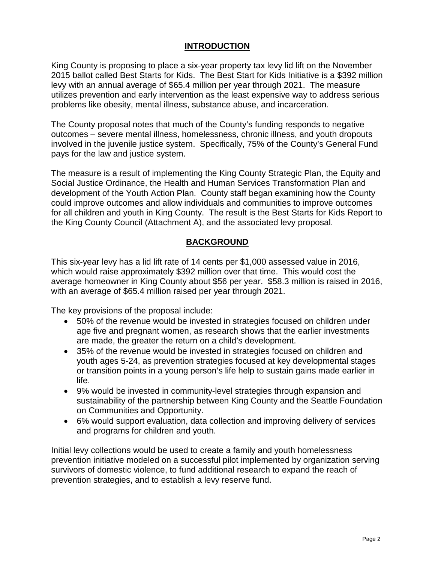# **INTRODUCTION**

King County is proposing to place a six-year property tax levy lid lift on the November 2015 ballot called Best Starts for Kids. The Best Start for Kids Initiative is a \$392 million levy with an annual average of \$65.4 million per year through 2021. The measure utilizes prevention and early intervention as the least expensive way to address serious problems like obesity, mental illness, substance abuse, and incarceration.

The County proposal notes that much of the County's funding responds to negative outcomes – severe mental illness, homelessness, chronic illness, and youth dropouts involved in the juvenile justice system. Specifically, 75% of the County's General Fund pays for the law and justice system.

The measure is a result of implementing the King County Strategic Plan, the Equity and Social Justice Ordinance, the Health and Human Services Transformation Plan and development of the Youth Action Plan. County staff began examining how the County could improve outcomes and allow individuals and communities to improve outcomes for all children and youth in King County. The result is the Best Starts for Kids Report to the King County Council (Attachment A), and the associated levy proposal.

# **BACKGROUND**

This six-year levy has a lid lift rate of 14 cents per \$1,000 assessed value in 2016, which would raise approximately \$392 million over that time. This would cost the average homeowner in King County about \$56 per year. \$58.3 million is raised in 2016, with an average of \$65.4 million raised per year through 2021.

The key provisions of the proposal include:

- 50% of the revenue would be invested in strategies focused on children under age five and pregnant women, as research shows that the earlier investments are made, the greater the return on a child's development.
- 35% of the revenue would be invested in strategies focused on children and youth ages 5-24, as prevention strategies focused at key developmental stages or transition points in a young person's life help to sustain gains made earlier in life.
- 9% would be invested in community-level strategies through expansion and sustainability of the partnership between King County and the Seattle Foundation on Communities and Opportunity.
- 6% would support evaluation, data collection and improving delivery of services and programs for children and youth.

Initial levy collections would be used to create a family and youth homelessness prevention initiative modeled on a successful pilot implemented by organization serving survivors of domestic violence, to fund additional research to expand the reach of prevention strategies, and to establish a levy reserve fund.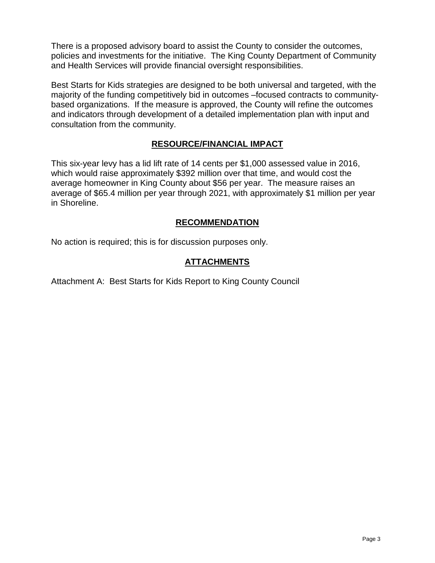There is a proposed advisory board to assist the County to consider the outcomes, policies and investments for the initiative. The King County Department of Community and Health Services will provide financial oversight responsibilities.

Best Starts for Kids strategies are designed to be both universal and targeted, with the majority of the funding competitively bid in outcomes –focused contracts to communitybased organizations. If the measure is approved, the County will refine the outcomes and indicators through development of a detailed implementation plan with input and consultation from the community.

# **RESOURCE/FINANCIAL IMPACT**

This six-year levy has a lid lift rate of 14 cents per \$1,000 assessed value in 2016, which would raise approximately \$392 million over that time, and would cost the average homeowner in King County about \$56 per year. The measure raises an average of \$65.4 million per year through 2021, with approximately \$1 million per year in Shoreline.

# **RECOMMENDATION**

No action is required; this is for discussion purposes only.

# **ATTACHMENTS**

Attachment A: Best Starts for Kids Report to King County Council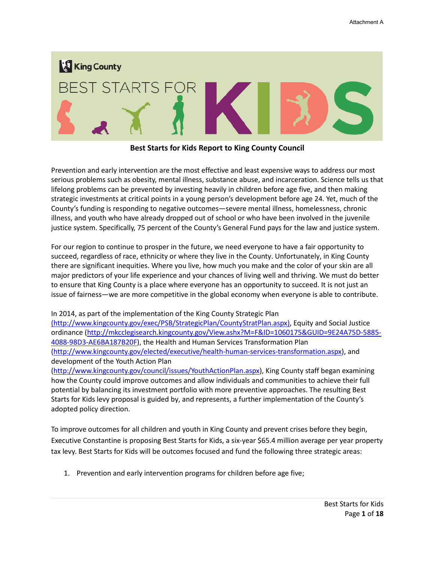

**Best Starts for Kids Report to King County Council** 

Prevention and early intervention are the most effective and least expensive ways to address our most serious problems such as obesity, mental illness, substance abuse, and incarceration. Science tells us that lifelong problems can be prevented by investing heavily in children before age five, and then making strategic investments at critical points in a young person's development before age 24. Yet, much of the County's funding is responding to negative outcomes—severe mental illness, homelessness, chronic illness, and youth who have already dropped out of school or who have been involved in the juvenile justice system. Specifically, 75 percent of the County's General Fund pays for the law and justice system.

For our region to continue to prosper in the future, we need everyone to have a fair opportunity to succeed, regardless of race, ethnicity or where they live in the County. Unfortunately, in King County there are significant inequities. Where you live, how much you make and the color of your skin are all major predictors of your life experience and your chances of living well and thriving. We must do better to ensure that King County is a place where everyone has an opportunity to succeed. It is not just an issue of fairness—we are more competitive in the global economy when everyone is able to contribute.

In 2014, as part of the implementation of the King County Strategic Plan

(http://www.kingcounty.gov/exec/PSB/StrategicPlan/CountyStratPlan.aspx), Equity and Social Justice ordinance [\(http://mkcclegisearch.kingcounty.gov/View.ashx?M=F&ID=1060175&GUID=9E24A75D-5885-](http://mkcclegisearch.kingcounty.gov/View.ashx?M=F&ID=1060175&GUID=9E24A75D-5885-4088-98D3-AE6BA187B20F) [4088-98D3-AE6BA187B20F\)](http://mkcclegisearch.kingcounty.gov/View.ashx?M=F&ID=1060175&GUID=9E24A75D-5885-4088-98D3-AE6BA187B20F), the Health and Human Services Transformation Plan [\(http://www.kingcounty.gov/elected/executive/health-human-services-transformation.aspx\)](http://www.kingcounty.gov/elected/executive/health-human-services-transformation.aspx), and development of the Youth Action Plan

[\(http://www.kingcounty.gov/council/issues/YouthActionPlan.aspx\)](http://www.kingcounty.gov/council/issues/YouthActionPlan.aspx), King County staff began examining how the County could improve outcomes and allow individuals and communities to achieve their full potential by balancing its investment portfolio with more preventive approaches. The resulting Best Starts for Kids levy proposal is guided by, and represents, a further implementation of the County's adopted policy direction.

To improve outcomes for all children and youth in King County and prevent crises before they begin, Executive Constantine is proposing Best Starts for Kids, a six-year \$65.4 million average per year property tax levy. Best Starts for Kids will be outcomes focused and fund the following three strategic areas:

1. Prevention and early intervention programs for children before age five;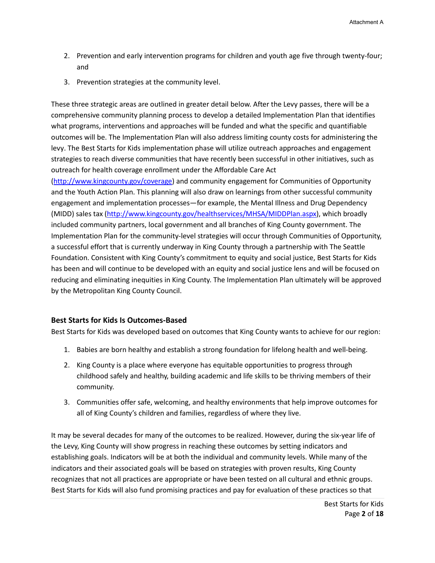- 2. Prevention and early intervention programs for children and youth age five through twenty-four; and
- 3. Prevention strategies at the community level.

These three strategic areas are outlined in greater detail below. After the Levy passes, there will be a comprehensive community planning process to develop a detailed Implementation Plan that identifies what programs, interventions and approaches will be funded and what the specific and quantifiable outcomes will be. The Implementation Plan will also address limiting county costs for administering the levy. The Best Starts for Kids implementation phase will utilize outreach approaches and engagement strategies to reach diverse communities that have recently been successful in other initiatives, such as outreach for health coverage enrollment under the Affordable Care Act

[\(http://www.kingcounty.gov/coverage\)](http://www.kingcounty.gov/coverage) and community engagement for Communities of Opportunity and the Youth Action Plan. This planning will also draw on learnings from other successful community engagement and implementation processes—for example, the Mental Illness and Drug Dependency (MIDD) sales tax [\(http://www.kingcounty.gov/healthservices/MHSA/MIDDPlan.aspx\)](http://www.kingcounty.gov/healthservices/MHSA/MIDDPlan.aspx), which broadly included community partners, local government and all branches of King County government. The Implementation Plan for the community-level strategies will occur through Communities of Opportunity, a successful effort that is currently underway in King County through a partnership with The Seattle Foundation. Consistent with King County's commitment to equity and social justice, Best Starts for Kids has been and will continue to be developed with an equity and social justice lens and will be focused on reducing and eliminating inequities in King County. The Implementation Plan ultimately will be approved by the Metropolitan King County Council.

#### **Best Starts for Kids Is Outcomes-Based**

Best Starts for Kids was developed based on outcomes that King County wants to achieve for our region:

- 1. Babies are born healthy and establish a strong foundation for lifelong health and well-being.
- 2. King County is a place where everyone has equitable opportunities to progress through childhood safely and healthy, building academic and life skills to be thriving members of their community.
- 3. Communities offer safe, welcoming, and healthy environments that help improve outcomes for all of King County's children and families, regardless of where they live.

It may be several decades for many of the outcomes to be realized. However, during the six-year life of the Levy, King County will show progress in reaching these outcomes by setting indicators and establishing goals. Indicators will be at both the individual and community levels. While many of the indicators and their associated goals will be based on strategies with proven results, King County recognizes that not all practices are appropriate or have been tested on all cultural and ethnic groups. Best Starts for Kids will also fund promising practices and pay for evaluation of these practices so that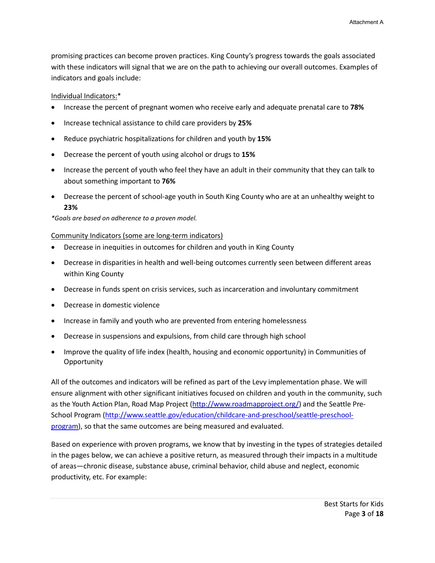promising practices can become proven practices. King County's progress towards the goals associated with these indicators will signal that we are on the path to achieving our overall outcomes. Examples of indicators and goals include:

### Individual Indicators:\*

- Increase the percent of pregnant women who receive early and adequate prenatal care to **78%**
- Increase technical assistance to child care providers by **25%**
- Reduce psychiatric hospitalizations for children and youth by **15%**
- Decrease the percent of youth using alcohol or drugs to **15%**
- Increase the percent of youth who feel they have an adult in their community that they can talk to about something important to **76%**
- Decrease the percent of school-age youth in South King County who are at an unhealthy weight to **23%**

*\*Goals are based on adherence to a proven model.*

### Community Indicators (some are long-term indicators)

- Decrease in inequities in outcomes for children and youth in King County
- Decrease in disparities in health and well-being outcomes currently seen between different areas within King County
- Decrease in funds spent on crisis services, such as incarceration and involuntary commitment
- Decrease in domestic violence
- Increase in family and youth who are prevented from entering homelessness
- Decrease in suspensions and expulsions, from child care through high school
- Improve the quality of life index (health, housing and economic opportunity) in Communities of **Opportunity**

All of the outcomes and indicators will be refined as part of the Levy implementation phase. We will ensure alignment with other significant initiatives focused on children and youth in the community, such as the Youth Action Plan, Road Map Project [\(http://www.roadmapproject.org/\)](http://www.roadmapproject.org/) and the Seattle Pre-School Program [\(http://www.seattle.gov/education/childcare-and-preschool/seattle-preschool](http://www.seattle.gov/education/childcare-and-preschool/seattle-preschool-program)[program\)](http://www.seattle.gov/education/childcare-and-preschool/seattle-preschool-program), so that the same outcomes are being measured and evaluated.

Based on experience with proven programs, we know that by investing in the types of strategies detailed in the pages below, we can achieve a positive return, as measured through their impacts in a multitude of areas—chronic disease, substance abuse, criminal behavior, child abuse and neglect, economic productivity, etc. For example: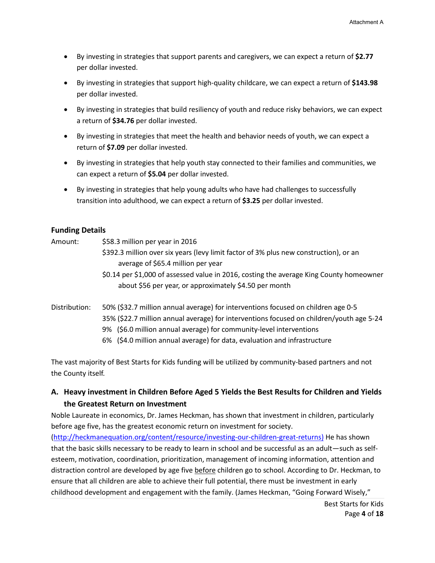- By investing in strategies that support parents and caregivers, we can expect a return of **\$2.77** per dollar invested.
- By investing in strategies that support high-quality childcare, we can expect a return of **\$143.98** per dollar invested.
- By investing in strategies that build resiliency of youth and reduce risky behaviors, we can expect a return of **\$34.76** per dollar invested.
- By investing in strategies that meet the health and behavior needs of youth, we can expect a return of **\$7.09** per dollar invested.
- By investing in strategies that help youth stay connected to their families and communities, we can expect a return of **\$5.04** per dollar invested.
- By investing in strategies that help young adults who have had challenges to successfully transition into adulthood, we can expect a return of **\$3.25** per dollar invested.

### **Funding Details**

Amount: \$58.3 million per year in 2016

- \$392.3 million over six years (levy limit factor of 3% plus new construction), or an average of \$65.4 million per year
- \$0.14 per \$1,000 of assessed value in 2016, costing the average King County homeowner about \$56 per year, or approximately \$4.50 per month
- Distribution: 50% (\$32.7 million annual average) for interventions focused on children age 0-5 35% (\$22.7 million annual average) for interventions focused on children/youth age 5-24 9% (\$6.0 million annual average) for community-level interventions 6% (\$4.0 million annual average) for data, evaluation and infrastructure

The vast majority of Best Starts for Kids funding will be utilized by community-based partners and not the County itself.

# **A. Heavy investment in Children Before Aged 5 Yields the Best Results for Children and Yields the Greatest Return on Investment**

Noble Laureate in economics, Dr. James Heckman, has shown that investment in children, particularly before age five, has the greatest economic return on investment for society.

[\(http://heckmanequation.org/content/resource/investing-our-children-great-returns\)](http://heckmanequation.org/content/resource/investing-our-children-great-returns) He has shown that the basic skills necessary to be ready to learn in school and be successful as an adult—such as selfesteem, motivation, coordination, prioritization, management of incoming information, attention and distraction control are developed by age five before children go to school. According to Dr. Heckman, to ensure that all children are able to achieve their full potential, there must be investment in early childhood development and engagement with the family. (James Heckman, "Going Forward Wisely,"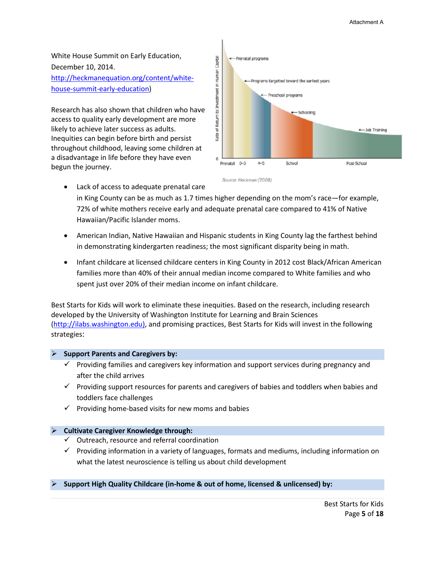White House Summit on Early Education, December 10, 2014. [http://heckmanequation.org/content/white](http://heckmanequation.org/content/white-house-summit-early-education)[house-summit-early-education\)](http://heckmanequation.org/content/white-house-summit-early-education)

Research has also shown that children who have access to quality early development are more likely to achieve later success as adults. Inequities can begin before birth and persist throughout childhood, leaving some children at a disadvantage in life before they have even begun the journey.



- Lack of access to adequate prenatal care in King County can be as much as 1.7 times higher depending on the mom's race—for example, 72% of white mothers receive early and adequate prenatal care compared to 41% of Native Hawaiian/Pacific Islander moms.
	- American Indian, Native Hawaiian and Hispanic students in King County lag the farthest behind in demonstrating kindergarten readiness; the most significant disparity being in math.
	- Infant childcare at licensed childcare centers in King County in 2012 cost Black/African American families more than 40% of their annual median income compared to White families and who spent just over 20% of their median income on infant childcare.

Best Starts for Kids will work to eliminate these inequities. Based on the research, including research developed by the University of Washington Institute for Learning and Brain Sciences [\(http://ilabs.washington.edu\)](http://ilabs.washington.edu/), and promising practices, Best Starts for Kids will invest in the following strategies:

#### **Support Parents and Caregivers by:**

- $\checkmark$  Providing families and caregivers key information and support services during pregnancy and after the child arrives
- $\checkmark$  Providing support resources for parents and caregivers of babies and toddlers when babies and toddlers face challenges
- $\checkmark$  Providing home-based visits for new moms and babies

#### **Cultivate Caregiver Knowledge through:**

- $\checkmark$  Outreach, resource and referral coordination
- $\checkmark$  Providing information in a variety of languages, formats and mediums, including information on what the latest neuroscience is telling us about child development

#### **Support High Quality Childcare (in-home & out of home, licensed & unlicensed) by:**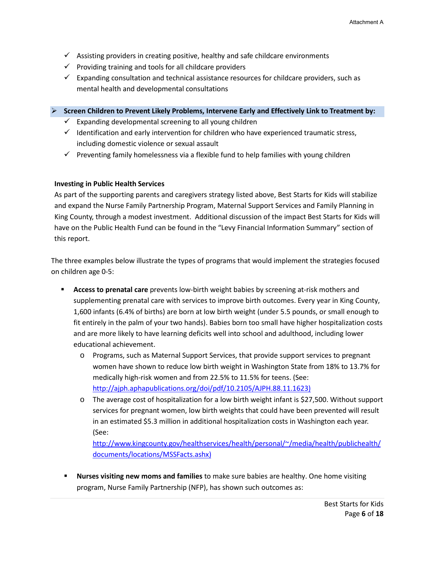- $\checkmark$  Assisting providers in creating positive, healthy and safe childcare environments
- $\checkmark$  Providing training and tools for all childcare providers
- $\checkmark$  Expanding consultation and technical assistance resources for childcare providers, such as mental health and developmental consultations

**Screen Children to Prevent Likely Problems, Intervene Early and Effectively Link to Treatment by:**

- $\checkmark$  Expanding developmental screening to all young children
- $\checkmark$  Identification and early intervention for children who have experienced traumatic stress, including domestic violence or sexual assault
- $\checkmark$  Preventing family homelessness via a flexible fund to help families with young children

### **Investing in Public Health Services**

As part of the supporting parents and caregivers strategy listed above, Best Starts for Kids will stabilize and expand the Nurse Family Partnership Program, Maternal Support Services and Family Planning in King County, through a modest investment. Additional discussion of the impact Best Starts for Kids will have on the Public Health Fund can be found in the "Levy Financial Information Summary" section of this report.

The three examples below illustrate the types of programs that would implement the strategies focused on children age 0-5:

- **Access to prenatal care** prevents low-birth weight babies by screening at-risk mothers and supplementing prenatal care with services to improve birth outcomes. Every year in King County, 1,600 infants (6.4% of births) are born at low birth weight (under 5.5 pounds, or small enough to fit entirely in the palm of your two hands). Babies born too small have higher hospitalization costs and are more likely to have learning deficits well into school and adulthood, including lower educational achievement.
	- o Programs, such as Maternal Support Services, that provide support services to pregnant women have shown to reduce low birth weight in Washington State from 18% to 13.7% for medically high-risk women and from 22.5% to 11.5% for teens. (See: [http://ajph.aphapublications.org/doi/pdf/10.2105/AJPH.88.11.1623\)](http://ajph.aphapublications.org/doi/pdf/10.2105/AJPH.88.11.1623)
	- o The average cost of hospitalization for a low birth weight infant is \$27,500. Without support services for pregnant women, low birth weights that could have been prevented will result in an estimated \$5.3 million in additional hospitalization costs in Washington each year. (See:

[http://www.kingcounty.gov/healthservices/health/personal/~/media/health/publichealth/](http://www.kingcounty.gov/healthservices/health/personal/%7E/media/health/publichealth/documents/locations/MSSFacts.ashx) [documents/locations/MSSFacts.ashx\)](http://www.kingcounty.gov/healthservices/health/personal/%7E/media/health/publichealth/documents/locations/MSSFacts.ashx)

 **Nurses visiting new moms and families** to make sure babies are healthy. One home visiting program, Nurse Family Partnership (NFP), has shown such outcomes as: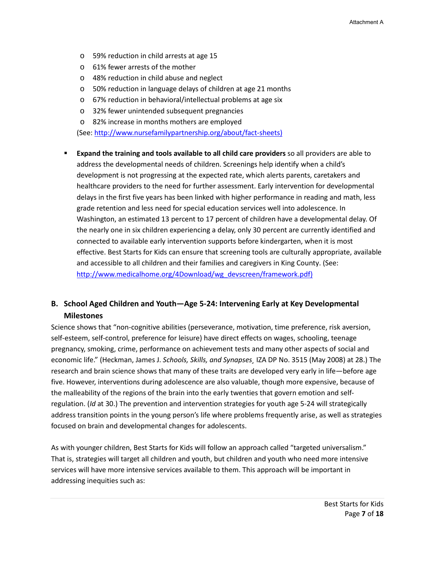- o 59% reduction in child arrests at age 15
- o 61% fewer arrests of the mother
- o 48% reduction in child abuse and neglect
- o 50% reduction in language delays of children at age 21 months
- o 67% reduction in behavioral/intellectual problems at age six
- o 32% fewer unintended subsequent pregnancies
- o 82% increase in months mothers are employed

(See: [http://www.nursefamilypartnership.org/about/fact-sheets\)](http://www.nursefamilypartnership.org/about/fact-sheets)

 **Expand the training and tools available to all child care providers** so all providers are able to address the developmental needs of children. Screenings help identify when a child's development is not progressing at the expected rate, which alerts parents, caretakers and healthcare providers to the need for further assessment. Early intervention for developmental delays in the first five years has been linked with higher performance in reading and math, less grade retention and less need for special education services well into adolescence. In Washington, an estimated 13 percent to 17 percent of children have a developmental delay. Of the nearly one in six children experiencing a delay, only 30 percent are currently identified and connected to available early intervention supports before kindergarten, when it is most effective. Best Starts for Kids can ensure that screening tools are culturally appropriate, available and accessible to all children and their families and caregivers in King County. (See: [http://www.medicalhome.org/4Download/wg\\_devscreen/framework.pdf\)](http://www.medicalhome.org/4Download/wg_devscreen/framework.pdf)

# **B. School Aged Children and Youth—Age 5-24: Intervening Early at Key Developmental Milestones**

Science shows that "non-cognitive abilities (perseverance, motivation, time preference, risk aversion, self-esteem, self-control, preference for leisure) have direct effects on wages, schooling, teenage pregnancy, smoking, crime, performance on achievement tests and many other aspects of social and economic life." (Heckman, James J. *Schools, Skills, and Synapses¸* IZA DP No. 3515 (May 2008) at 28.) The research and brain science shows that many of these traits are developed very early in life—before age five. However, interventions during adolescence are also valuable, though more expensive, because of the malleability of the regions of the brain into the early twenties that govern emotion and selfregulation. (*Id* at 30.) The prevention and intervention strategies for youth age 5-24 will strategically address transition points in the young person's life where problems frequently arise, as well as strategies focused on brain and developmental changes for adolescents.

As with younger children, Best Starts for Kids will follow an approach called "targeted universalism." That is, strategies will target all children and youth, but children and youth who need more intensive services will have more intensive services available to them. This approach will be important in addressing inequities such as: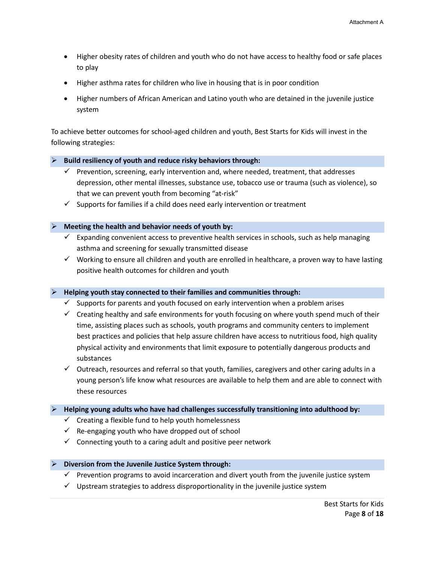- Higher obesity rates of children and youth who do not have access to healthy food or safe places to play
- Higher asthma rates for children who live in housing that is in poor condition
- Higher numbers of African American and Latino youth who are detained in the juvenile justice system

To achieve better outcomes for school-aged children and youth, Best Starts for Kids will invest in the following strategies:

#### **Build resiliency of youth and reduce risky behaviors through:**

- $\checkmark$  Prevention, screening, early intervention and, where needed, treatment, that addresses depression, other mental illnesses, substance use, tobacco use or trauma (such as violence), so that we can prevent youth from becoming "at-risk"
- $\checkmark$  Supports for families if a child does need early intervention or treatment

#### **Meeting the health and behavior needs of youth by:**

- $\checkmark$  Expanding convenient access to preventive health services in schools, such as help managing asthma and screening for sexually transmitted disease
- $\checkmark$  Working to ensure all children and youth are enrolled in healthcare, a proven way to have lasting positive health outcomes for children and youth

#### **Helping youth stay connected to their families and communities through:**

- $\checkmark$  Supports for parents and youth focused on early intervention when a problem arises
- $\checkmark$  Creating healthy and safe environments for youth focusing on where youth spend much of their time, assisting places such as schools, youth programs and community centers to implement best practices and policies that help assure children have access to nutritious food, high quality physical activity and environments that limit exposure to potentially dangerous products and substances
- $\checkmark$  Outreach, resources and referral so that youth, families, caregivers and other caring adults in a young person's life know what resources are available to help them and are able to connect with these resources

#### **Helping young adults who have had challenges successfully transitioning into adulthood by:**

- $\checkmark$  Creating a flexible fund to help youth homelessness
- $\checkmark$  Re-engaging youth who have dropped out of school
- $\checkmark$  Connecting youth to a caring adult and positive peer network

#### **Diversion from the Juvenile Justice System through:**

- $\checkmark$  Prevention programs to avoid incarceration and divert youth from the juvenile justice system
- $\checkmark$  Upstream strategies to address disproportionality in the juvenile justice system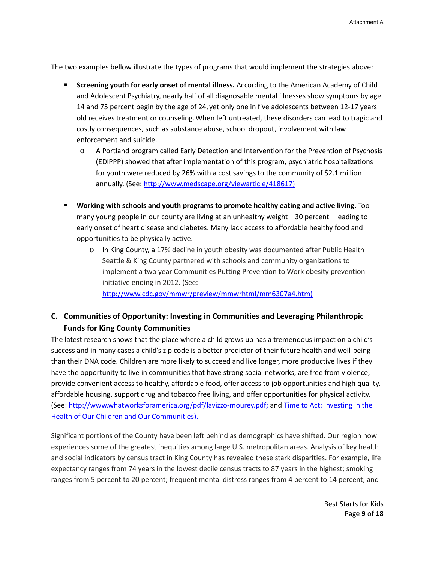The two examples bellow illustrate the types of programs that would implement the strategies above:

- **Screening youth for early onset of mental illness.** According to the American Academy of Child and Adolescent Psychiatry, nearly half of all diagnosable mental illnesses show symptoms by age 14 and 75 percent begin by the age of 24, yet only one in five adolescents between 12-17 years old receives treatment or counseling.When left untreated, these disorders can lead to tragic and costly consequences, such as substance abuse, school dropout, involvement with law enforcement and suicide.
	- o A Portland program called Early Detection and Intervention for the Prevention of Psychosis (EDIPPP) showed that after implementation of this program, psychiatric hospitalizations for youth were reduced by 26% with a cost savings to the community of \$2.1 million annually. (See: [http://www.medscape.org/viewarticle/418617\)](http://www.medscape.org/viewarticle/418617)
- **Working with schools and youth programs to promote healthy eating and active living.** Too many young people in our county are living at an unhealthy weight—30 percent—leading to early onset of heart disease and diabetes. Many lack access to affordable healthy food and opportunities to be physically active.
	- o In King County, a 17% decline in youth obesity was documented after Public Health– Seattle & King County partnered with schools and community organizations to implement a two year Communities Putting Prevention to Work obesity prevention initiative ending in 2012. (See: [http://www.cdc.gov/mmwr/preview/mmwrhtml/mm6307a4.htm\)](http://www.cdc.gov/mmwr/preview/mmwrhtml/mm6307a4.htm)

# **C. Communities of Opportunity: Investing in Communities and Leveraging Philanthropic Funds for King County Communities**

The latest research shows that the place where a child grows up has a tremendous impact on a child's success and in many cases a child's zip code is a better predictor of their future health and well-being than their DNA code. Children are more likely to succeed and live longer, more productive lives if they have the opportunity to live in communities that have strong social networks, are free from violence, provide convenient access to healthy, affordable food, offer access to job opportunities and high quality, affordable housing, support drug and tobacco free living, and offer opportunities for physical activity. (See: [http://www.whatworksforamerica.org/pdf/lavizzo-mourey.pdf;](http://www.whatworksforamerica.org/pdf/lavizzo-mourey.pdf) an[d Time to Act: Investing in the](http://www.rwjf.org/en/library/research/2014/01/recommendations-from-the-rwjf-commission-to-build-a-healthier-am.html)  [Health of Our Children and Our Communities\)](http://www.rwjf.org/en/library/research/2014/01/recommendations-from-the-rwjf-commission-to-build-a-healthier-am.html).

Significant portions of the County have been left behind as demographics have shifted. Our region now experiences some of the greatest inequities among large U.S. metropolitan areas. Analysis of key health and social indicators by census tract in King County has revealed these stark disparities. For example, life expectancy ranges from 74 years in the lowest decile census tracts to 87 years in the highest; smoking ranges from 5 percent to 20 percent; frequent mental distress ranges from 4 percent to 14 percent; and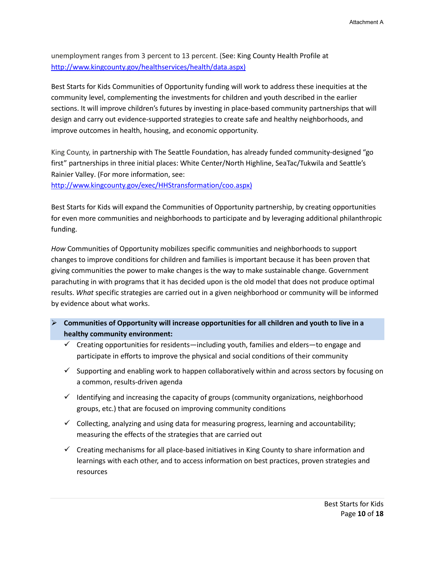unemployment ranges from 3 percent to 13 percent. (See: King County Health Profile at [http://www.kingcounty.gov/healthservices/health/data.aspx\)](http://www.kingcounty.gov/healthservices/health/data.aspx)

Best Starts for Kids Communities of Opportunity funding will work to address these inequities at the community level, complementing the investments for children and youth described in the earlier sections. It will improve children's futures by investing in place-based community partnerships that will design and carry out evidence-supported strategies to create safe and healthy neighborhoods, and improve outcomes in health, housing, and economic opportunity.

King County, in partnership with The Seattle Foundation, has already funded community-designed "go first" partnerships in three initial places: White Center/North Highline, SeaTac/Tukwila and Seattle's Rainier Valley. (For more information, see:

[http://www.kingcounty.gov/exec/HHStransformation/coo.aspx\)](http://www.kingcounty.gov/exec/HHStransformation/coo.aspx)

Best Starts for Kids will expand the Communities of Opportunity partnership, by creating opportunities for even more communities and neighborhoods to participate and by leveraging additional philanthropic funding.

*How* Communities of Opportunity mobilizes specific communities and neighborhoods to support changes to improve conditions for children and families is important because it has been proven that giving communities the power to make changes is the way to make sustainable change. Government parachuting in with programs that it has decided upon is the old model that does not produce optimal results. *What* specific strategies are carried out in a given neighborhood or community will be informed by evidence about what works.

- **Communities of Opportunity will increase opportunities for all children and youth to live in a healthy community environment:** 
	- $\checkmark$  Creating opportunities for residents—including youth, families and elders—to engage and participate in efforts to improve the physical and social conditions of their community
	- $\checkmark$  Supporting and enabling work to happen collaboratively within and across sectors by focusing on a common, results-driven agenda
	- $\checkmark$  Identifying and increasing the capacity of groups (community organizations, neighborhood groups, etc.) that are focused on improving community conditions
	- $\checkmark$  Collecting, analyzing and using data for measuring progress, learning and accountability; measuring the effects of the strategies that are carried out
	- $\checkmark$  Creating mechanisms for all place-based initiatives in King County to share information and learnings with each other, and to access information on best practices, proven strategies and resources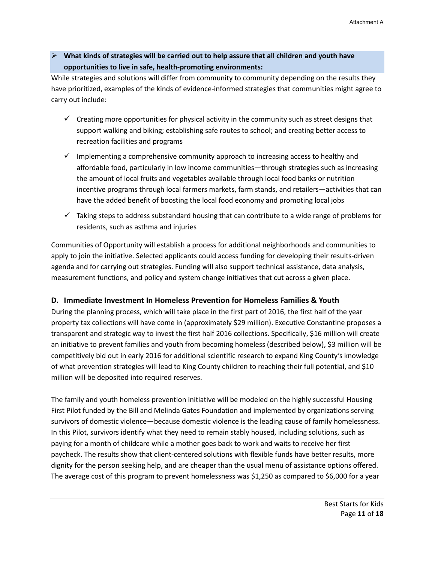**What kinds of strategies will be carried out to help assure that all children and youth have opportunities to live in safe, health-promoting environments:**

While strategies and solutions will differ from community to community depending on the results they have prioritized, examples of the kinds of evidence-informed strategies that communities might agree to carry out include:

- $\checkmark$  Creating more opportunities for physical activity in the community such as street designs that support walking and biking; establishing safe routes to school; and creating better access to recreation facilities and programs
- $\checkmark$  Implementing a comprehensive community approach to increasing access to healthy and affordable food, particularly in low income communities—through strategies such as increasing the amount of local fruits and vegetables available through local food banks or nutrition incentive programs through local farmers markets, farm stands, and retailers—activities that can have the added benefit of boosting the local food economy and promoting local jobs
- $\checkmark$  Taking steps to address substandard housing that can contribute to a wide range of problems for residents, such as asthma and injuries

Communities of Opportunity will establish a process for additional neighborhoods and communities to apply to join the initiative. Selected applicants could access funding for developing their results-driven agenda and for carrying out strategies. Funding will also support technical assistance, data analysis, measurement functions, and policy and system change initiatives that cut across a given place.

### **D. Immediate Investment In Homeless Prevention for Homeless Families & Youth**

During the planning process, which will take place in the first part of 2016, the first half of the year property tax collections will have come in (approximately \$29 million). Executive Constantine proposes a transparent and strategic way to invest the first half 2016 collections. Specifically, \$16 million will create an initiative to prevent families and youth from becoming homeless (described below), \$3 million will be competitively bid out in early 2016 for additional scientific research to expand King County's knowledge of what prevention strategies will lead to King County children to reaching their full potential, and \$10 million will be deposited into required reserves.

The family and youth homeless prevention initiative will be modeled on the highly successful Housing First Pilot funded by the Bill and Melinda Gates Foundation and implemented by organizations serving survivors of domestic violence—because domestic violence is the leading cause of family homelessness. In this Pilot, survivors identify what they need to remain stably housed, including solutions, such as paying for a month of childcare while a mother goes back to work and waits to receive her first paycheck. The results show that client-centered solutions with flexible funds have better results, more dignity for the person seeking help, and are cheaper than the usual menu of assistance options offered. The average cost of this program to prevent homelessness was \$1,250 as compared to \$6,000 for a year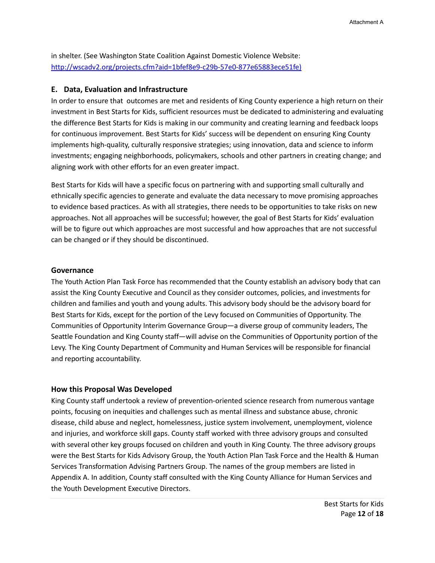in shelter. (See Washington State Coalition Against Domestic Violence Website: [http://wscadv2.org/projects.cfm?aid=1bfef8e9-c29b-57e0-877e65883ece51fe\)](http://wscadv2.org/projects.cfm?aid=1bfef8e9-c29b-57e0-877e65883ece51fe)

### **E. Data, Evaluation and Infrastructure**

In order to ensure that outcomes are met and residents of King County experience a high return on their investment in Best Starts for Kids, sufficient resources must be dedicated to administering and evaluating the difference Best Starts for Kids is making in our community and creating learning and feedback loops for continuous improvement. Best Starts for Kids' success will be dependent on ensuring King County implements high-quality, culturally responsive strategies; using innovation, data and science to inform investments; engaging neighborhoods, policymakers, schools and other partners in creating change; and aligning work with other efforts for an even greater impact.

Best Starts for Kids will have a specific focus on partnering with and supporting small culturally and ethnically specific agencies to generate and evaluate the data necessary to move promising approaches to evidence based practices. As with all strategies, there needs to be opportunities to take risks on new approaches. Not all approaches will be successful; however, the goal of Best Starts for Kids' evaluation will be to figure out which approaches are most successful and how approaches that are not successful can be changed or if they should be discontinued.

#### **Governance**

The Youth Action Plan Task Force has recommended that the County establish an advisory body that can assist the King County Executive and Council as they consider outcomes, policies, and investments for children and families and youth and young adults. This advisory body should be the advisory board for Best Starts for Kids, except for the portion of the Levy focused on Communities of Opportunity. The Communities of Opportunity Interim Governance Group—a diverse group of community leaders, The Seattle Foundation and King County staff—will advise on the Communities of Opportunity portion of the Levy. The King County Department of Community and Human Services will be responsible for financial and reporting accountability.

#### **How this Proposal Was Developed**

King County staff undertook a review of prevention-oriented science research from numerous vantage points, focusing on inequities and challenges such as mental illness and substance abuse, chronic disease, child abuse and neglect, homelessness, justice system involvement, unemployment, violence and injuries, and workforce skill gaps. County staff worked with three advisory groups and consulted with several other key groups focused on children and youth in King County. The three advisory groups were the Best Starts for Kids Advisory Group, the Youth Action Plan Task Force and the Health & Human Services Transformation Advising Partners Group. The names of the group members are listed in Appendix A. In addition, County staff consulted with the King County Alliance for Human Services and the Youth Development Executive Directors.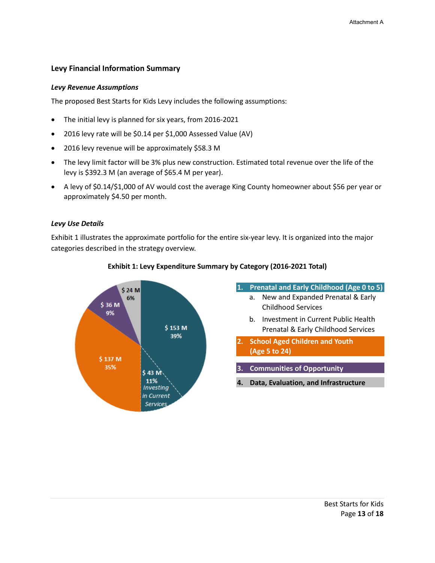### **Levy Financial Information Summary**

#### *Levy Revenue Assumptions*

The proposed Best Starts for Kids Levy includes the following assumptions:

- The initial levy is planned for six years, from 2016-2021
- 2016 levy rate will be \$0.14 per \$1,000 Assessed Value (AV)
- 2016 levy revenue will be approximately \$58.3 M
- The levy limit factor will be 3% plus new construction. Estimated total revenue over the life of the levy is \$392.3 M (an average of \$65.4 M per year).
- A levy of \$0.14/\$1,000 of AV would cost the average King County homeowner about \$56 per year or approximately \$4.50 per month.

#### *Levy Use Details*

Exhibit 1 illustrates the approximate portfolio for the entire six-year levy. It is organized into the major categories described in the strategy overview.



#### **Exhibit 1: Levy Expenditure Summary by Category (2016-2021 Total)**

# **1. Prenatal and Early Childhood (Age 0 to 5)**

- a. New and Expanded Prenatal & Early Childhood Services
- b. Investment in Current Public Health Prenatal & Early Childhood Services
- **2. School Aged Children and Youth (Age 5 to 24)**
- **3. Communities of Opportunity**
- **4. Data, Evaluation, and Infrastructure**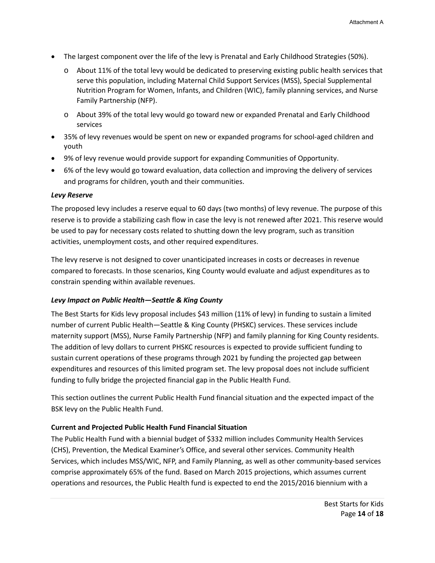- The largest component over the life of the levy is Prenatal and Early Childhood Strategies (50%).
	- o About 11% of the total levy would be dedicated to preserving existing public health services that serve this population, including Maternal Child Support Services (MSS), Special Supplemental Nutrition Program for Women, Infants, and Children (WIC), family planning services, and Nurse Family Partnership (NFP).
	- o About 39% of the total levy would go toward new or expanded Prenatal and Early Childhood services
- 35% of levy revenues would be spent on new or expanded programs for school-aged children and youth
- 9% of levy revenue would provide support for expanding Communities of Opportunity.
- 6% of the levy would go toward evaluation, data collection and improving the delivery of services and programs for children, youth and their communities.

### *Levy Reserve*

The proposed levy includes a reserve equal to 60 days (two months) of levy revenue. The purpose of this reserve is to provide a stabilizing cash flow in case the levy is not renewed after 2021. This reserve would be used to pay for necessary costs related to shutting down the levy program, such as transition activities, unemployment costs, and other required expenditures.

The levy reserve is not designed to cover unanticipated increases in costs or decreases in revenue compared to forecasts. In those scenarios, King County would evaluate and adjust expenditures as to constrain spending within available revenues.

### *Levy Impact on Public Health—Seattle & King County*

The Best Starts for Kids levy proposal includes \$43 million (11% of levy) in funding to sustain a limited number of current Public Health—Seattle & King County (PHSKC) services. These services include maternity support (MSS), Nurse Family Partnership (NFP) and family planning for King County residents. The addition of levy dollars to current PHSKC resources is expected to provide sufficient funding to sustain current operations of these programs through 2021 by funding the projected gap between expenditures and resources of this limited program set. The levy proposal does not include sufficient funding to fully bridge the projected financial gap in the Public Health Fund.

This section outlines the current Public Health Fund financial situation and the expected impact of the BSK levy on the Public Health Fund.

### **Current and Projected Public Health Fund Financial Situation**

The Public Health Fund with a biennial budget of \$332 million includes Community Health Services (CHS), Prevention, the Medical Examiner's Office, and several other services. Community Health Services, which includes MSS/WIC, NFP, and Family Planning, as well as other community-based services comprise approximately 65% of the fund. Based on March 2015 projections, which assumes current operations and resources, the Public Health fund is expected to end the 2015/2016 biennium with a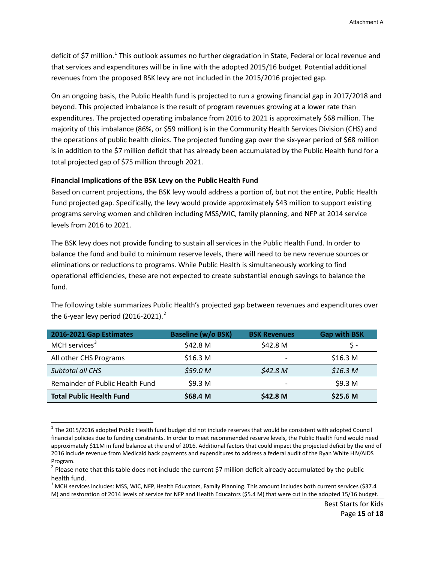deficit of \$7 million.<sup>[1](#page-17-0)</sup> This outlook assumes no further degradation in State, Federal or local revenue and that services and expenditures will be in line with the adopted 2015/16 budget. Potential additional revenues from the proposed BSK levy are not included in the 2015/2016 projected gap.

On an ongoing basis, the Public Health fund is projected to run a growing financial gap in 2017/2018 and beyond. This projected imbalance is the result of program revenues growing at a lower rate than expenditures. The projected operating imbalance from 2016 to 2021 is approximately \$68 million. The majority of this imbalance (86%, or \$59 million) is in the Community Health Services Division (CHS) and the operations of public health clinics. The projected funding gap over the six-year period of \$68 million is in addition to the \$7 million deficit that has already been accumulated by the Public Health fund for a total projected gap of \$75 million through 2021.

#### **Financial Implications of the BSK Levy on the Public Health Fund**

 $\overline{\phantom{a}}$ 

Based on current projections, the BSK levy would address a portion of, but not the entire, Public Health Fund projected gap. Specifically, the levy would provide approximately \$43 million to support existing programs serving women and children including MSS/WIC, family planning, and NFP at 2014 service levels from 2016 to 2021.

The BSK levy does not provide funding to sustain all services in the Public Health Fund. In order to balance the fund and build to minimum reserve levels, there will need to be new revenue sources or eliminations or reductions to programs. While Public Health is simultaneously working to find operational efficiencies, these are not expected to create substantial enough savings to balance the fund.

| 2016-2021 Gap Estimates         | <b>Baseline (w/o BSK)</b> | <b>BSK Revenues</b> | <b>Gap with BSK</b> |
|---------------------------------|---------------------------|---------------------|---------------------|
| MCH services <sup>3</sup>       | \$42.8 M                  | \$42.8 M            | S -                 |
| All other CHS Programs          | \$16.3 <sub>M</sub>       |                     | \$16.3 <sub>M</sub> |
| <b>Subtotal all CHS</b>         | \$59.0 <sub>M</sub>       | \$42.8 <sub>M</sub> | \$16.3 <sub>M</sub> |
| Remainder of Public Health Fund | \$9.3 M                   |                     | \$9.3 <sub>M</sub>  |
| <b>Total Public Health Fund</b> | \$68.4 M                  | \$42.8 <sub>M</sub> | \$25.6 M            |

The following table summarizes Public Health's projected gap between revenues and expenditures over the 6-year levy period ([2](#page-17-1)016-2021).<sup>2</sup>

<span id="page-17-0"></span> $1$  The 2015/2016 adopted Public Health fund budget did not include reserves that would be consistent with adopted Council financial policies due to funding constraints. In order to meet recommended reserve levels, the Public Health fund would need approximately \$11M in fund balance at the end of 2016. Additional factors that could impact the projected deficit by the end of 2016 include revenue from Medicaid back payments and expenditures to address a federal audit of the Ryan White HIV/AIDS Program.

<span id="page-17-1"></span> $2$  Please note that this table does not include the current \$7 million deficit already accumulated by the public health fund.

<span id="page-17-2"></span> $3$  MCH services includes: MSS, WIC, NFP, Health Educators, Family Planning. This amount includes both current services (\$37.4 M) and restoration of 2014 levels of service for NFP and Health Educators (\$5.4 M) that were cut in the adopted 15/16 budget.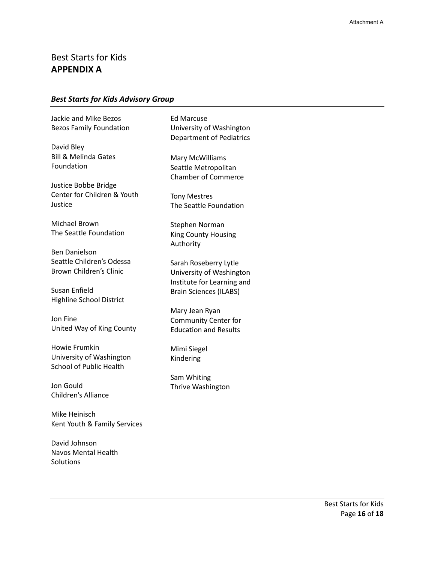# Best Starts for Kids **APPENDIX A**

### *Best Starts for Kids Advisory Group*

Jackie and Mike Bezos Bezos Family Foundation

David Bley Bill & Melinda Gates Foundation

Justice Bobbe Bridge Center for Children & Youth Justice

Michael Brown The Seattle Foundation

Ben Danielson Seattle Children's Odessa Brown Children's Clinic

Susan Enfield Highline School District

Jon Fine United Way of King County

Howie Frumkin University of Washington School of Public Health

Jon Gould Children's Alliance

Mike Heinisch Kent Youth & Family Services

David Johnson Navos Mental Health **Solutions** 

Ed Marcuse University of Washington Department of Pediatrics

Mary McWilliams Seattle Metropolitan Chamber of Commerce

Tony Mestres The Seattle Foundation

Stephen Norman King County Housing Authority

Sarah Roseberry Lytle University of Washington Institute for Learning and Brain Sciences (ILABS)

Mary Jean Ryan Community Center for Education and Results

Mimi Siegel Kindering

Sam Whiting Thrive Washington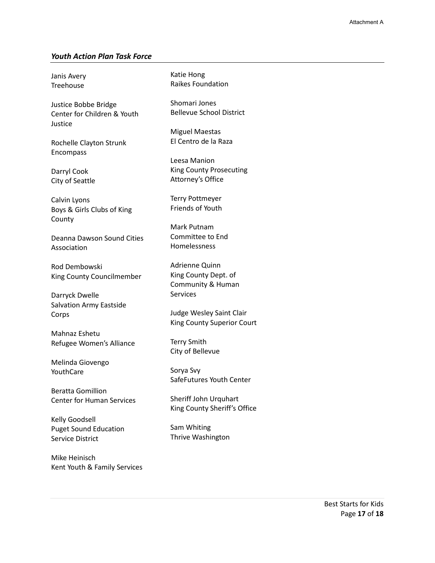### *Youth Action Plan Task Force*

Janis Avery Treehouse

Justice Bobbe Bridge Center for Children & Youth Justice

Rochelle Clayton Strunk Encompass

Darryl Cook City of Seattle

Calvin Lyons Boys & Girls Clubs of King County

Deanna Dawson Sound Cities Association

Rod Dembowski King County Councilmember

Darryck Dwelle Salvation Army Eastside Corps

Mahnaz Eshetu Refugee Women's Alliance

Melinda Giovengo YouthCare

Beratta Gomillion Center for Human Services

Kelly Goodsell Puget Sound Education Service District

Mike Heinisch Kent Youth & Family Services Katie Hong Raikes Foundation

Shomari Jones Bellevue School District

Miguel Maestas El Centro de la Raza

Leesa Manion King County Prosecuting Attorney's Office

Terry Pottmeyer Friends of Youth

Mark Putnam Committee to End Homelessness

Adrienne Quinn King County Dept. of Community & Human Services

Judge Wesley Saint Clair King County Superior Court

Terry Smith City of Bellevue

Sorya Svy SafeFutures Youth Center

Sheriff John Urquhart King County Sheriff's Office

Sam Whiting Thrive Washington